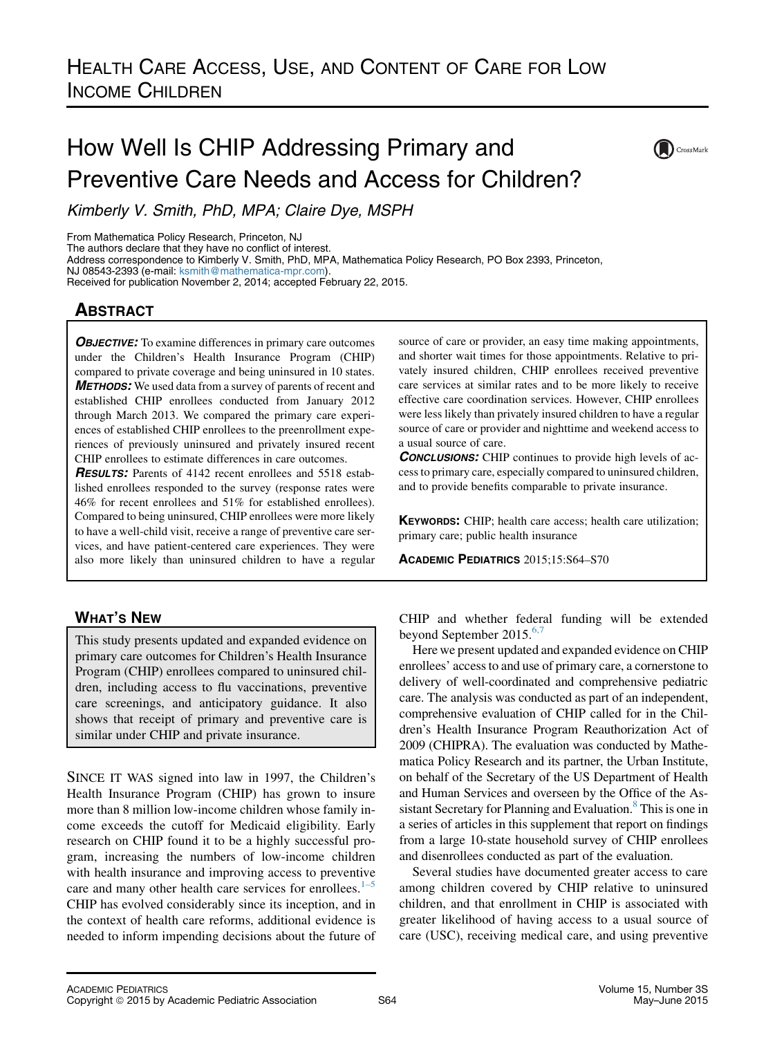# How Well Is CHIP Addressing Primary and Preventive Care Needs and Access for Children?



Kimberly V. Smith, PhD, MPA; Claire Dye, MSPH

From Mathematica Policy Research, Princeton, NJ

The authors declare that they have no conflict of interest.

Address correspondence to Kimberly V. Smith, PhD, MPA, Mathematica Policy Research, PO Box 2393, Princeton,

NJ 08543-2393 (e-mail: [ksmith@mathematica-mpr.com](mailto:ksmith@mathematica-mpr.com)).

Received for publication November 2, 2014; accepted February 22, 2015.

# **ABSTRACT**

**OBJECTIVE:** To examine differences in primary care outcomes under the Children's Health Insurance Program (CHIP) compared to private coverage and being uninsured in 10 states. **METHODS:** We used data from a survey of parents of recent and established CHIP enrollees conducted from January 2012 through March 2013. We compared the primary care experiences of established CHIP enrollees to the preenrollment experiences of previously uninsured and privately insured recent CHIP enrollees to estimate differences in care outcomes.

**RESULTS:** Parents of 4142 recent enrollees and 5518 established enrollees responded to the survey (response rates were 46% for recent enrollees and 51% for established enrollees). Compared to being uninsured, CHIP enrollees were more likely to have a well-child visit, receive a range of preventive care services, and have patient-centered care experiences. They were also more likely than uninsured children to have a regular

# WHAT'S NEW

This study presents updated and expanded evidence on primary care outcomes for Children's Health Insurance Program (CHIP) enrollees compared to uninsured children, including access to flu vaccinations, preventive care screenings, and anticipatory guidance. It also shows that receipt of primary and preventive care is similar under CHIP and private insurance.

SINCE IT WAS signed into law in 1997, the Children's Health Insurance Program (CHIP) has grown to insure more than 8 million low-income children whose family income exceeds the cutoff for Medicaid eligibility. Early research on CHIP found it to be a highly successful program, increasing the numbers of low-income children with health insurance and improving access to preventive care and many other health care services for enrollees. $1-5$ CHIP has evolved considerably since its inception, and in the context of health care reforms, additional evidence is needed to inform impending decisions about the future of source of care or provider, an easy time making appointments, and shorter wait times for those appointments. Relative to privately insured children, CHIP enrollees received preventive care services at similar rates and to be more likely to receive effective care coordination services. However, CHIP enrollees were less likely than privately insured children to have a regular source of care or provider and nighttime and weekend access to a usual source of care.

**CONCLUSIONS:** CHIP continues to provide high levels of access to primary care, especially compared to uninsured children, and to provide benefits comparable to private insurance.

KEYWORDS: CHIP; health care access; health care utilization; primary care; public health insurance

ACADEMIC PEDIATRICS 2015;15:S64–S70

CHIP and whether federal funding will be extended beyond September 2015.<sup>[6,7](#page-5-0)</sup>

Here we present updated and expanded evidence on CHIP enrollees' access to and use of primary care, a cornerstone to delivery of well-coordinated and comprehensive pediatric care. The analysis was conducted as part of an independent, comprehensive evaluation of CHIP called for in the Children's Health Insurance Program Reauthorization Act of 2009 (CHIPRA). The evaluation was conducted by Mathematica Policy Research and its partner, the Urban Institute, on behalf of the Secretary of the US Department of Health and Human Services and overseen by the Office of the As-sistant Secretary for Planning and Evaluation.<sup>[8](#page-5-0)</sup> This is one in a series of articles in this supplement that report on findings from a large 10-state household survey of CHIP enrollees and disenrollees conducted as part of the evaluation.

Several studies have documented greater access to care among children covered by CHIP relative to uninsured children, and that enrollment in CHIP is associated with greater likelihood of having access to a usual source of care (USC), receiving medical care, and using preventive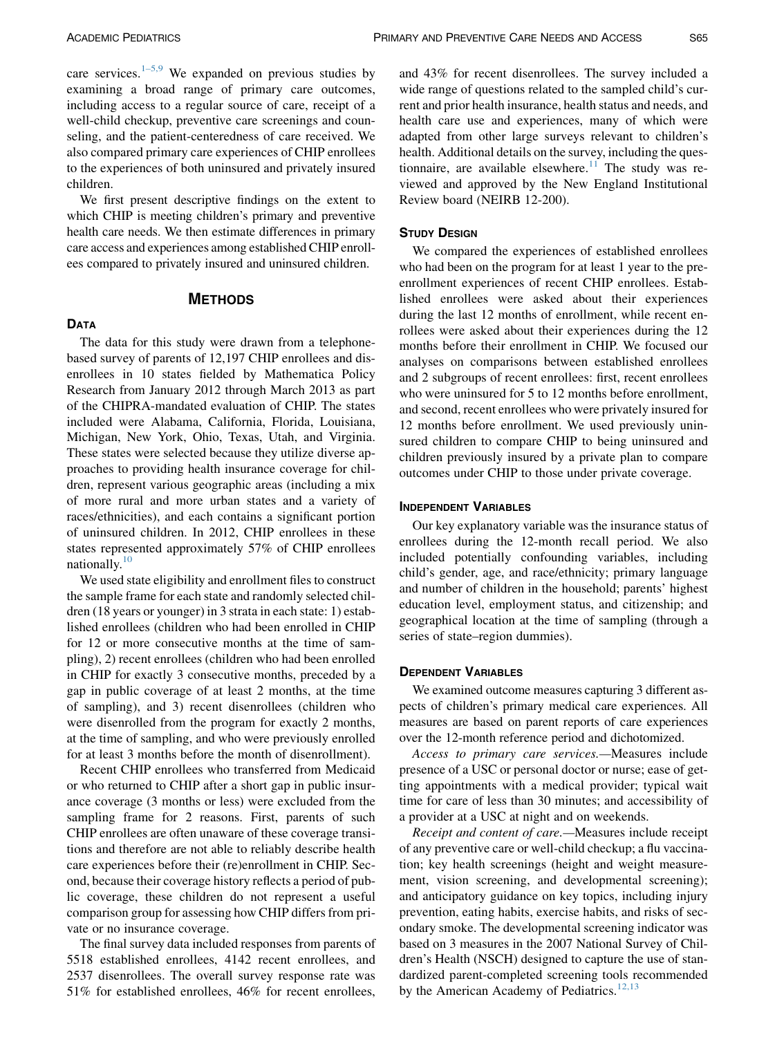ACADEMIC PEDIATRICS SERVICES AND PRIMARY AND PREVENTIVE CARE NEEDS AND ACCESS S65

care services. $1-5.9$  We expanded on previous studies by examining a broad range of primary care outcomes, including access to a regular source of care, receipt of a well-child checkup, preventive care screenings and counseling, and the patient-centeredness of care received. We also compared primary care experiences of CHIP enrollees to the experiences of both uninsured and privately insured children.

We first present descriptive findings on the extent to which CHIP is meeting children's primary and preventive health care needs. We then estimate differences in primary care access and experiences among established CHIP enrollees compared to privately insured and uninsured children.

# **METHODS**

### **DATA**

The data for this study were drawn from a telephonebased survey of parents of 12,197 CHIP enrollees and disenrollees in 10 states fielded by Mathematica Policy Research from January 2012 through March 2013 as part of the CHIPRA-mandated evaluation of CHIP. The states included were Alabama, California, Florida, Louisiana, Michigan, New York, Ohio, Texas, Utah, and Virginia. These states were selected because they utilize diverse approaches to providing health insurance coverage for children, represent various geographic areas (including a mix of more rural and more urban states and a variety of races/ethnicities), and each contains a significant portion of uninsured children. In 2012, CHIP enrollees in these states represented approximately 57% of CHIP enrollees nationally. $10$ 

We used state eligibility and enrollment files to construct the sample frame for each state and randomly selected children (18 years or younger) in 3 strata in each state: 1) established enrollees (children who had been enrolled in CHIP for 12 or more consecutive months at the time of sampling), 2) recent enrollees (children who had been enrolled in CHIP for exactly 3 consecutive months, preceded by a gap in public coverage of at least 2 months, at the time of sampling), and 3) recent disenrollees (children who were disenrolled from the program for exactly 2 months, at the time of sampling, and who were previously enrolled for at least 3 months before the month of disenrollment).

Recent CHIP enrollees who transferred from Medicaid or who returned to CHIP after a short gap in public insurance coverage (3 months or less) were excluded from the sampling frame for 2 reasons. First, parents of such CHIP enrollees are often unaware of these coverage transitions and therefore are not able to reliably describe health care experiences before their (re)enrollment in CHIP. Second, because their coverage history reflects a period of public coverage, these children do not represent a useful comparison group for assessing how CHIP differs from private or no insurance coverage.

The final survey data included responses from parents of 5518 established enrollees, 4142 recent enrollees, and 2537 disenrollees. The overall survey response rate was 51% for established enrollees, 46% for recent enrollees,

and 43% for recent disenrollees. The survey included a wide range of questions related to the sampled child's current and prior health insurance, health status and needs, and health care use and experiences, many of which were adapted from other large surveys relevant to children's health. Additional details on the survey, including the ques-tionnaire, are available elsewhere.<sup>[11](#page-5-0)</sup> The study was reviewed and approved by the New England Institutional Review board (NEIRB 12-200).

# **STUDY DESIGN**

We compared the experiences of established enrollees who had been on the program for at least 1 year to the preenrollment experiences of recent CHIP enrollees. Established enrollees were asked about their experiences during the last 12 months of enrollment, while recent enrollees were asked about their experiences during the 12 months before their enrollment in CHIP. We focused our analyses on comparisons between established enrollees and 2 subgroups of recent enrollees: first, recent enrollees who were uninsured for 5 to 12 months before enrollment, and second, recent enrollees who were privately insured for 12 months before enrollment. We used previously uninsured children to compare CHIP to being uninsured and children previously insured by a private plan to compare outcomes under CHIP to those under private coverage.

#### INDEPENDENT VARIABLES

Our key explanatory variable was the insurance status of enrollees during the 12-month recall period. We also included potentially confounding variables, including child's gender, age, and race/ethnicity; primary language and number of children in the household; parents' highest education level, employment status, and citizenship; and geographical location at the time of sampling (through a series of state–region dummies).

## DEPENDENT VARIABLES

We examined outcome measures capturing 3 different aspects of children's primary medical care experiences. All measures are based on parent reports of care experiences over the 12-month reference period and dichotomized.

Access to primary care services.—Measures include presence of a USC or personal doctor or nurse; ease of getting appointments with a medical provider; typical wait time for care of less than 30 minutes; and accessibility of a provider at a USC at night and on weekends.

Receipt and content of care.—Measures include receipt of any preventive care or well-child checkup; a flu vaccination; key health screenings (height and weight measurement, vision screening, and developmental screening); and anticipatory guidance on key topics, including injury prevention, eating habits, exercise habits, and risks of secondary smoke. The developmental screening indicator was based on 3 measures in the 2007 National Survey of Children's Health (NSCH) designed to capture the use of standardized parent-completed screening tools recommended by the American Academy of Pediatrics.<sup>[12,13](#page-5-0)</sup>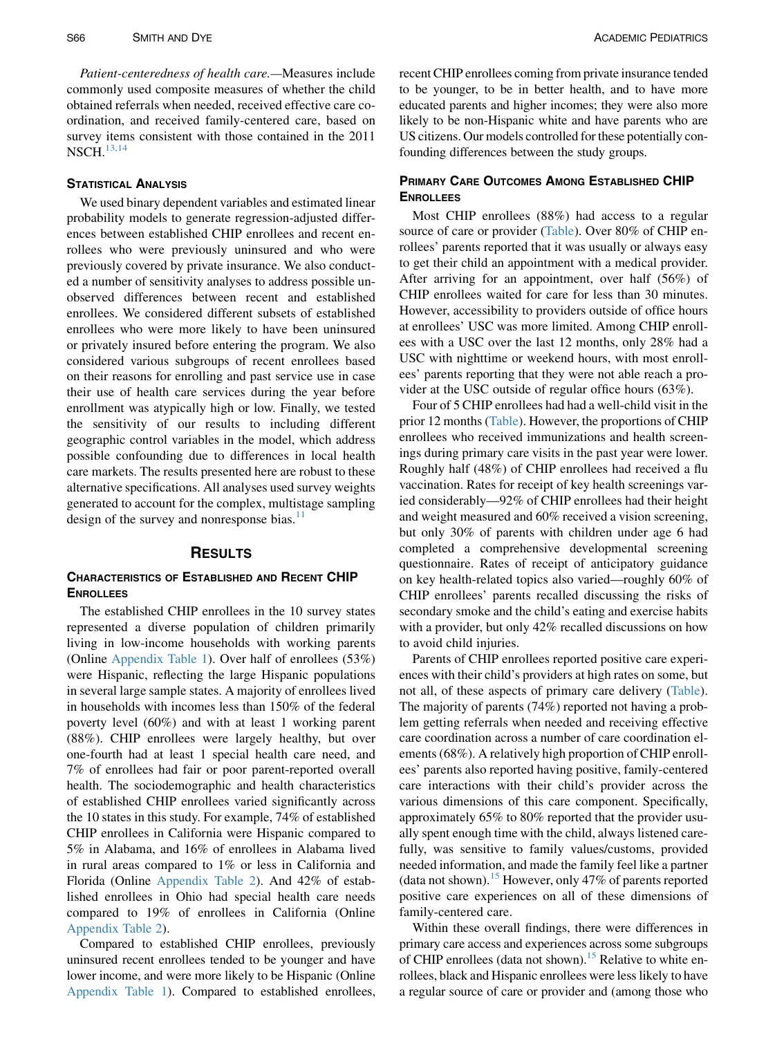Patient-centeredness of health care.—Measures include commonly used composite measures of whether the child obtained referrals when needed, received effective care coordination, and received family-centered care, based on survey items consistent with those contained in the 2011 NSCH.[13,14](#page-5-0)

#### STATISTICAL ANALYSIS

We used binary dependent variables and estimated linear probability models to generate regression-adjusted differences between established CHIP enrollees and recent enrollees who were previously uninsured and who were previously covered by private insurance. We also conducted a number of sensitivity analyses to address possible unobserved differences between recent and established enrollees. We considered different subsets of established enrollees who were more likely to have been uninsured or privately insured before entering the program. We also considered various subgroups of recent enrollees based on their reasons for enrolling and past service use in case their use of health care services during the year before enrollment was atypically high or low. Finally, we tested the sensitivity of our results to including different geographic control variables in the model, which address possible confounding due to differences in local health care markets. The results presented here are robust to these alternative specifications. All analyses used survey weights generated to account for the complex, multistage sampling design of the survey and nonresponse bias.<sup>[11](#page-5-0)</sup>

#### RESULTS

## CHARACTERISTICS OF ESTABLISHED AND RECENT CHIP **ENROLLEES**

The established CHIP enrollees in the 10 survey states represented a diverse population of children primarily living in low-income households with working parents (Online Appendix Table 1). Over half of enrollees (53%) were Hispanic, reflecting the large Hispanic populations in several large sample states. A majority of enrollees lived in households with incomes less than 150% of the federal poverty level (60%) and with at least 1 working parent (88%). CHIP enrollees were largely healthy, but over one-fourth had at least 1 special health care need, and 7% of enrollees had fair or poor parent-reported overall health. The sociodemographic and health characteristics of established CHIP enrollees varied significantly across the 10 states in this study. For example, 74% of established CHIP enrollees in California were Hispanic compared to 5% in Alabama, and 16% of enrollees in Alabama lived in rural areas compared to 1% or less in California and Florida (Online Appendix Table 2). And 42% of established enrollees in Ohio had special health care needs compared to 19% of enrollees in California (Online Appendix Table 2).

Compared to established CHIP enrollees, previously uninsured recent enrollees tended to be younger and have lower income, and were more likely to be Hispanic (Online Appendix Table 1). Compared to established enrollees,

recent CHIP enrollees coming from private insurance tended to be younger, to be in better health, and to have more educated parents and higher incomes; they were also more likely to be non-Hispanic white and have parents who are US citizens. Our models controlled for these potentially confounding differences between the study groups.

# PRIMARY CARE OUTCOMES AMONG ESTABLISHED CHIP **ENROLLEES**

Most CHIP enrollees (88%) had access to a regular source of care or provider [\(Table\)](#page-3-0). Over 80% of CHIP enrollees' parents reported that it was usually or always easy to get their child an appointment with a medical provider. After arriving for an appointment, over half (56%) of CHIP enrollees waited for care for less than 30 minutes. However, accessibility to providers outside of office hours at enrollees' USC was more limited. Among CHIP enrollees with a USC over the last 12 months, only 28% had a USC with nighttime or weekend hours, with most enrollees' parents reporting that they were not able reach a provider at the USC outside of regular office hours (63%).

Four of 5 CHIP enrollees had had a well-child visit in the prior 12 months [\(Table\)](#page-3-0). However, the proportions of CHIP enrollees who received immunizations and health screenings during primary care visits in the past year were lower. Roughly half (48%) of CHIP enrollees had received a flu vaccination. Rates for receipt of key health screenings varied considerably—92% of CHIP enrollees had their height and weight measured and 60% received a vision screening, but only 30% of parents with children under age 6 had completed a comprehensive developmental screening questionnaire. Rates of receipt of anticipatory guidance on key health-related topics also varied—roughly 60% of CHIP enrollees' parents recalled discussing the risks of secondary smoke and the child's eating and exercise habits with a provider, but only 42% recalled discussions on how to avoid child injuries.

Parents of CHIP enrollees reported positive care experiences with their child's providers at high rates on some, but not all, of these aspects of primary care delivery ([Table\)](#page-3-0). The majority of parents (74%) reported not having a problem getting referrals when needed and receiving effective care coordination across a number of care coordination elements (68%). A relatively high proportion of CHIP enrollees' parents also reported having positive, family-centered care interactions with their child's provider across the various dimensions of this care component. Specifically, approximately 65% to 80% reported that the provider usually spent enough time with the child, always listened carefully, was sensitive to family values/customs, provided needed information, and made the family feel like a partner (data not shown).<sup>[15](#page-5-0)</sup> However, only 47% of parents reported positive care experiences on all of these dimensions of family-centered care.

Within these overall findings, there were differences in primary care access and experiences across some subgroups of CHIP enrollees (data not shown).<sup>15</sup> Relative to white enrollees, black and Hispanic enrollees were less likely to have a regular source of care or provider and (among those who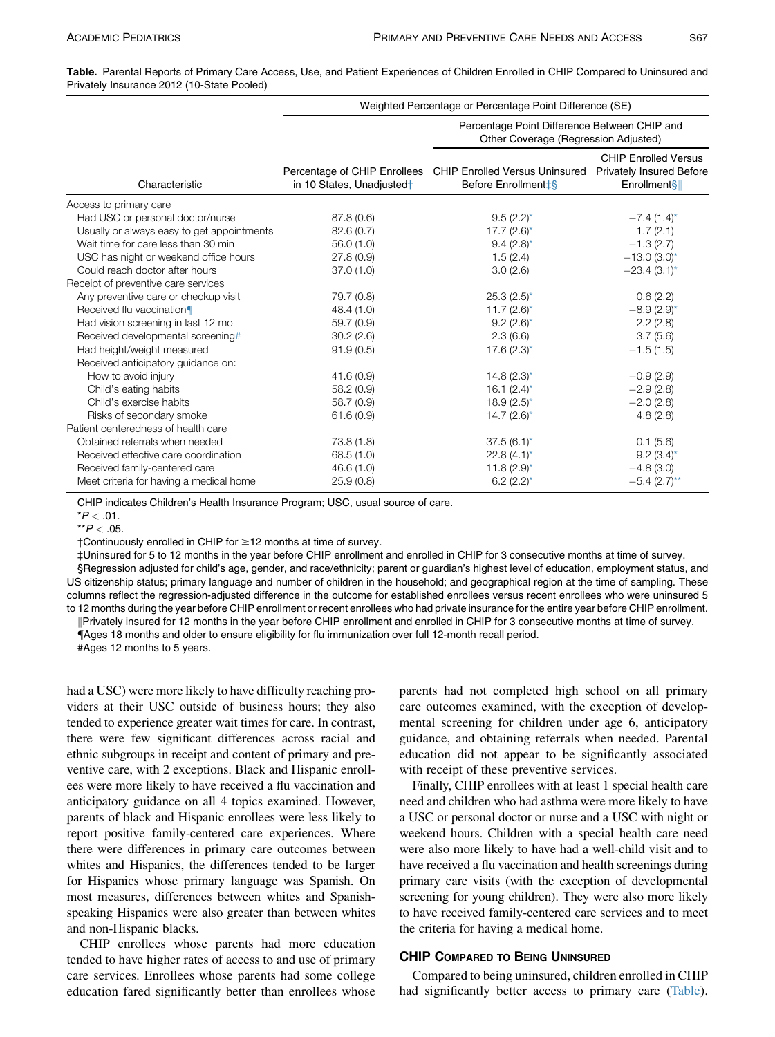#### <span id="page-3-0"></span>Table. Parental Reports of Primary Care Access, Use, and Patient Experiences of Children Enrolled in CHIP Compared to Uninsured and Privately Insurance 2012 (10-State Pooled)

|                                            | Weighted Percentage or Percentage Point Difference (SE)               |                                                                                      |                                                                                     |
|--------------------------------------------|-----------------------------------------------------------------------|--------------------------------------------------------------------------------------|-------------------------------------------------------------------------------------|
|                                            |                                                                       | Percentage Point Difference Between CHIP and<br>Other Coverage (Regression Adjusted) |                                                                                     |
| Characteristic                             | Percentage of CHIP Enrollees<br>in 10 States, Unadjusted <sup>+</sup> | <b>CHIP Enrolled Versus Uninsured</b><br>Before Enrollment <sup>+§</sup>             | <b>CHIP Enrolled Versus</b><br><b>Privately Insured Before</b><br><b>Enrollment</b> |
| Access to primary care                     |                                                                       |                                                                                      |                                                                                     |
| Had USC or personal doctor/nurse           | 87.8 (0.6)                                                            | $9.5(2.2)$ *                                                                         | $-7.4(1.4)$ *                                                                       |
| Usually or always easy to get appointments | 82.6(0.7)                                                             | $17.7(2.6)$ *                                                                        | 1.7(2.1)                                                                            |
| Wait time for care less than 30 min        | 56.0(1.0)                                                             | $9.4(2.8)$ *                                                                         | $-1.3(2.7)$                                                                         |
| USC has night or weekend office hours      | 27.8(0.9)                                                             | 1.5(2.4)                                                                             | $-13.0(3.0)^{*}$                                                                    |
| Could reach doctor after hours             | 37.0(1.0)                                                             | 3.0(2.6)                                                                             | $-23.4(3.1)$ *                                                                      |
| Receipt of preventive care services        |                                                                       |                                                                                      |                                                                                     |
| Any preventive care or checkup visit       | 79.7 (0.8)                                                            | $25.3(2.5)$ *                                                                        | 0.6(2.2)                                                                            |
| Received flu vaccination                   | 48.4(1.0)                                                             | $11.7(2.6)$ *                                                                        | $-8.9(2.9)$ *                                                                       |
| Had vision screening in last 12 mo         | 59.7 (0.9)                                                            | $9.2(2.6)$ *                                                                         | 2.2(2.8)                                                                            |
| Received developmental screening#          | 30.2(2.6)                                                             | 2.3(6.6)                                                                             | 3.7(5.6)                                                                            |
| Had height/weight measured                 | 91.9(0.5)                                                             | $17.6(2.3)$ *                                                                        | $-1.5(1.5)$                                                                         |
| Received anticipatory guidance on:         |                                                                       |                                                                                      |                                                                                     |
| How to avoid injury                        | 41.6(0.9)                                                             | $14.8(2.3)$ *                                                                        | $-0.9(2.9)$                                                                         |
| Child's eating habits                      | 58.2(0.9)                                                             | 16.1 $(2.4)^*$                                                                       | $-2.9(2.8)$                                                                         |
| Child's exercise habits                    | 58.7 (0.9)                                                            | $18.9(2.5)$ *                                                                        | $-2.0(2.8)$                                                                         |
| Risks of secondary smoke                   | 61.6(0.9)                                                             | 14.7 $(2.6)^*$                                                                       | 4.8(2.8)                                                                            |
| Patient centeredness of health care        |                                                                       |                                                                                      |                                                                                     |
| Obtained referrals when needed             | 73.8 (1.8)                                                            | $37.5(6.1)$ *                                                                        | 0.1(5.6)                                                                            |
| Received effective care coordination       | 68.5(1.0)                                                             | $22.8(4.1)$ *                                                                        | $9.2~(3.4)$ *                                                                       |
| Received family-centered care              | 46.6(1.0)                                                             | $11.8(2.9)$ *                                                                        | $-4.8(3.0)$                                                                         |
| Meet criteria for having a medical home    | 25.9(0.8)                                                             | $6.2 (2.2)^*$                                                                        | $-5.4(2.7)$ **                                                                      |

CHIP indicates Children's Health Insurance Program; USC, usual source of care.

 $*P < .01$ .

 $*$   $*$   $P$   $<$  .05.

 $\dagger$ Continuously enrolled in CHIP for  $\geq$  12 months at time of survey.

‡Uninsured for 5 to 12 months in the year before CHIP enrollment and enrolled in CHIP for 3 consecutive months at time of survey. §Regression adjusted for child's age, gender, and race/ethnicity; parent or guardian's highest level of education, employment status, and US citizenship status; primary language and number of children in the household; and geographical region at the time of sampling. These columns reflect the regression-adjusted difference in the outcome for established enrollees versus recent enrollees who were uninsured 5 to 12 months during the year before CHIP enrollment or recent enrollees who had private insurance for the entire year before CHIP enrollment.

Privately insured for 12 months in the year before CHIP enrollment and enrolled in CHIP for 3 consecutive months at time of survey.

{Ages 18 months and older to ensure eligibility for flu immunization over full 12-month recall period.

#Ages 12 months to 5 years.

had a USC) were more likely to have difficulty reaching providers at their USC outside of business hours; they also tended to experience greater wait times for care. In contrast, there were few significant differences across racial and ethnic subgroups in receipt and content of primary and preventive care, with 2 exceptions. Black and Hispanic enrollees were more likely to have received a flu vaccination and anticipatory guidance on all 4 topics examined. However, parents of black and Hispanic enrollees were less likely to report positive family-centered care experiences. Where there were differences in primary care outcomes between whites and Hispanics, the differences tended to be larger for Hispanics whose primary language was Spanish. On most measures, differences between whites and Spanishspeaking Hispanics were also greater than between whites and non-Hispanic blacks.

CHIP enrollees whose parents had more education tended to have higher rates of access to and use of primary care services. Enrollees whose parents had some college education fared significantly better than enrollees whose

parents had not completed high school on all primary care outcomes examined, with the exception of developmental screening for children under age 6, anticipatory guidance, and obtaining referrals when needed. Parental education did not appear to be significantly associated with receipt of these preventive services.

Finally, CHIP enrollees with at least 1 special health care need and children who had asthma were more likely to have a USC or personal doctor or nurse and a USC with night or weekend hours. Children with a special health care need were also more likely to have had a well-child visit and to have received a flu vaccination and health screenings during primary care visits (with the exception of developmental screening for young children). They were also more likely to have received family-centered care services and to meet the criteria for having a medical home.

#### CHIP COMPARED TO BEING UNINSURED

Compared to being uninsured, children enrolled in CHIP had significantly better access to primary care (Table).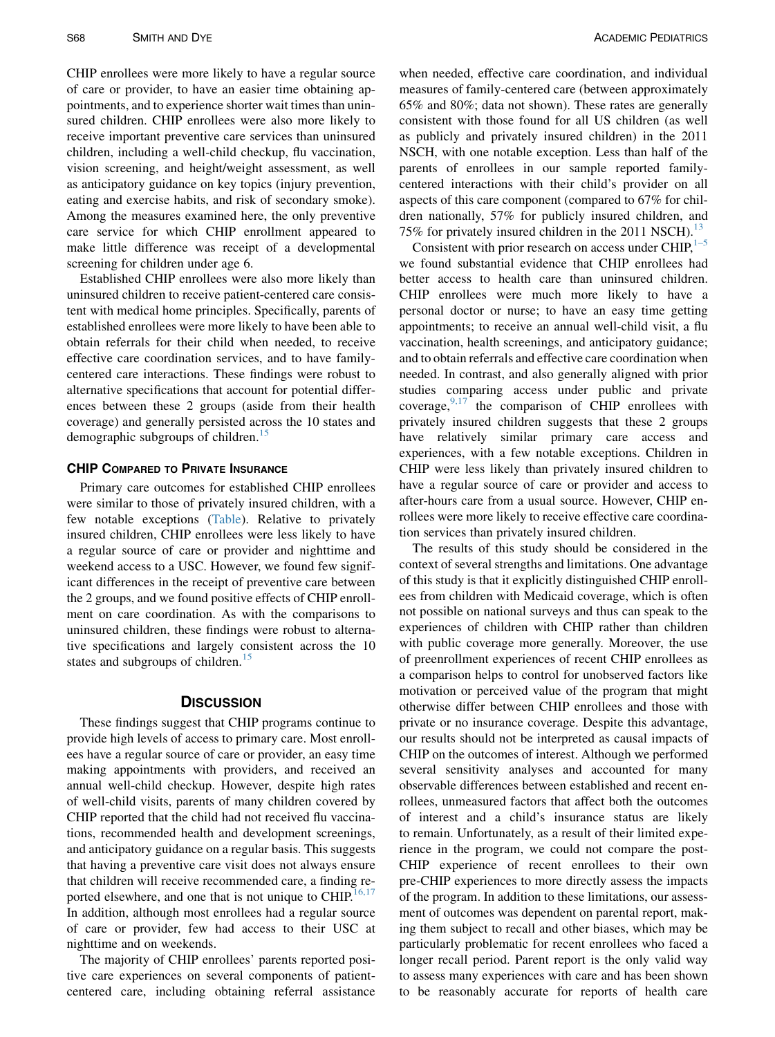CHIP enrollees were more likely to have a regular source of care or provider, to have an easier time obtaining appointments, and to experience shorter wait times than uninsured children. CHIP enrollees were also more likely to receive important preventive care services than uninsured children, including a well-child checkup, flu vaccination, vision screening, and height/weight assessment, as well as anticipatory guidance on key topics (injury prevention, eating and exercise habits, and risk of secondary smoke). Among the measures examined here, the only preventive care service for which CHIP enrollment appeared to make little difference was receipt of a developmental screening for children under age 6.

Established CHIP enrollees were also more likely than uninsured children to receive patient-centered care consistent with medical home principles. Specifically, parents of established enrollees were more likely to have been able to obtain referrals for their child when needed, to receive effective care coordination services, and to have familycentered care interactions. These findings were robust to alternative specifications that account for potential differences between these 2 groups (aside from their health coverage) and generally persisted across the 10 states and demographic subgroups of children.<sup>[15](#page-5-0)</sup>

#### CHIP COMPARED TO PRIVATE INSURANCE

Primary care outcomes for established CHIP enrollees were similar to those of privately insured children, with a few notable exceptions [\(Table](#page-3-0)). Relative to privately insured children, CHIP enrollees were less likely to have a regular source of care or provider and nighttime and weekend access to a USC. However, we found few significant differences in the receipt of preventive care between the 2 groups, and we found positive effects of CHIP enrollment on care coordination. As with the comparisons to uninsured children, these findings were robust to alternative specifications and largely consistent across the 10 states and subgroups of children. $15$ 

# **DISCUSSION**

These findings suggest that CHIP programs continue to provide high levels of access to primary care. Most enrollees have a regular source of care or provider, an easy time making appointments with providers, and received an annual well-child checkup. However, despite high rates of well-child visits, parents of many children covered by CHIP reported that the child had not received flu vaccinations, recommended health and development screenings, and anticipatory guidance on a regular basis. This suggests that having a preventive care visit does not always ensure that children will receive recommended care, a finding re-ported elsewhere, and one that is not unique to CHIP.<sup>[16,17](#page-6-0)</sup> In addition, although most enrollees had a regular source of care or provider, few had access to their USC at nighttime and on weekends.

The majority of CHIP enrollees' parents reported positive care experiences on several components of patientcentered care, including obtaining referral assistance

when needed, effective care coordination, and individual measures of family-centered care (between approximately 65% and 80%; data not shown). These rates are generally consistent with those found for all US children (as well as publicly and privately insured children) in the 2011 NSCH, with one notable exception. Less than half of the parents of enrollees in our sample reported familycentered interactions with their child's provider on all aspects of this care component (compared to 67% for children nationally, 57% for publicly insured children, and 75% for privately insured children in the  $2011$  NSCH).<sup>[13](#page-5-0)</sup>

Consistent with prior research on access under  $CHIP$ ,  $1-5$ we found substantial evidence that CHIP enrollees had better access to health care than uninsured children. CHIP enrollees were much more likely to have a personal doctor or nurse; to have an easy time getting appointments; to receive an annual well-child visit, a flu vaccination, health screenings, and anticipatory guidance; and to obtain referrals and effective care coordination when needed. In contrast, and also generally aligned with prior studies comparing access under public and private coverage,  $9,17$  the comparison of CHIP enrollees with privately insured children suggests that these 2 groups have relatively similar primary care access and experiences, with a few notable exceptions. Children in CHIP were less likely than privately insured children to have a regular source of care or provider and access to after-hours care from a usual source. However, CHIP enrollees were more likely to receive effective care coordination services than privately insured children.

The results of this study should be considered in the context of several strengths and limitations. One advantage of this study is that it explicitly distinguished CHIP enrollees from children with Medicaid coverage, which is often not possible on national surveys and thus can speak to the experiences of children with CHIP rather than children with public coverage more generally. Moreover, the use of preenrollment experiences of recent CHIP enrollees as a comparison helps to control for unobserved factors like motivation or perceived value of the program that might otherwise differ between CHIP enrollees and those with private or no insurance coverage. Despite this advantage, our results should not be interpreted as causal impacts of CHIP on the outcomes of interest. Although we performed several sensitivity analyses and accounted for many observable differences between established and recent enrollees, unmeasured factors that affect both the outcomes of interest and a child's insurance status are likely to remain. Unfortunately, as a result of their limited experience in the program, we could not compare the post-CHIP experience of recent enrollees to their own pre-CHIP experiences to more directly assess the impacts of the program. In addition to these limitations, our assessment of outcomes was dependent on parental report, making them subject to recall and other biases, which may be particularly problematic for recent enrollees who faced a longer recall period. Parent report is the only valid way to assess many experiences with care and has been shown to be reasonably accurate for reports of health care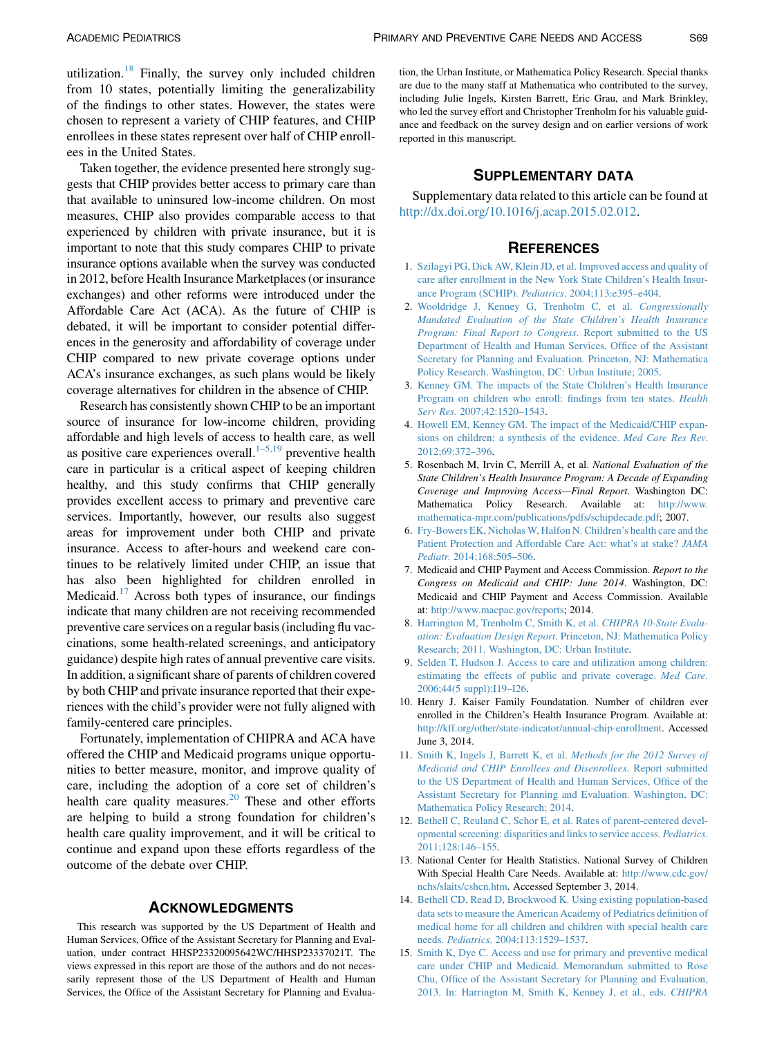<span id="page-5-0"></span>utilization.<sup>[18](#page-6-0)</sup> Finally, the survey only included children from 10 states, potentially limiting the generalizability of the findings to other states. However, the states were chosen to represent a variety of CHIP features, and CHIP enrollees in these states represent over half of CHIP enrollees in the United States.

Taken together, the evidence presented here strongly suggests that CHIP provides better access to primary care than that available to uninsured low-income children. On most measures, CHIP also provides comparable access to that experienced by children with private insurance, but it is important to note that this study compares CHIP to private insurance options available when the survey was conducted in 2012, before Health Insurance Marketplaces (or insurance exchanges) and other reforms were introduced under the Affordable Care Act (ACA). As the future of CHIP is debated, it will be important to consider potential differences in the generosity and affordability of coverage under CHIP compared to new private coverage options under ACA's insurance exchanges, as such plans would be likely coverage alternatives for children in the absence of CHIP.

Research has consistently shown CHIP to be an important source of insurance for low-income children, providing affordable and high levels of access to health care, as well as positive care experiences overall. $1-5,19$  preventive health care in particular is a critical aspect of keeping children healthy, and this study confirms that CHIP generally provides excellent access to primary and preventive care services. Importantly, however, our results also suggest areas for improvement under both CHIP and private insurance. Access to after-hours and weekend care continues to be relatively limited under CHIP, an issue that has also been highlighted for children enrolled in Medicaid.<sup>17</sup> Across both types of insurance, our findings indicate that many children are not receiving recommended preventive care services on a regular basis (including flu vaccinations, some health-related screenings, and anticipatory guidance) despite high rates of annual preventive care visits. In addition, a significant share of parents of children covered by both CHIP and private insurance reported that their experiences with the child's provider were not fully aligned with family-centered care principles.

Fortunately, implementation of CHIPRA and ACA have offered the CHIP and Medicaid programs unique opportunities to better measure, monitor, and improve quality of care, including the adoption of a core set of children's health care quality measures.<sup>[20](#page-6-0)</sup> These and other efforts are helping to build a strong foundation for children's health care quality improvement, and it will be critical to continue and expand upon these efforts regardless of the outcome of the debate over CHIP.

#### ACKNOWLEDGMENTS

This research was supported by the US Department of Health and Human Services, Office of the Assistant Secretary for Planning and Evaluation, under contract HHSP23320095642WC/HHSP23337021T. The views expressed in this report are those of the authors and do not necessarily represent those of the US Department of Health and Human Services, the Office of the Assistant Secretary for Planning and Evalua-

tion, the Urban Institute, or Mathematica Policy Research. Special thanks are due to the many staff at Mathematica who contributed to the survey, including Julie Ingels, Kirsten Barrett, Eric Grau, and Mark Brinkley, who led the survey effort and Christopher Trenholm for his valuable guidance and feedback on the survey design and on earlier versions of work reported in this manuscript.

# SUPPLEMENTARY DATA

Supplementary data related to this article can be found at [http://dx.doi.org/10.1016/j.acap.2015.02.012.](http://dx.doi.org/10.1016/j.acap.2015.02.012)

#### **REFERENCES**

- 1. [Szilagyi PG, Dick AW, Klein JD, et al. Improved access and quality of](http://refhub.elsevier.com/S1876-2859(15)00069-8/sref1) [care after enrollment in the New York State Children's Health Insur](http://refhub.elsevier.com/S1876-2859(15)00069-8/sref1)[ance Program \(SCHIP\).](http://refhub.elsevier.com/S1876-2859(15)00069-8/sref1) Pediatrics. 2004;113:e395–e404.
- 2. [Wooldridge J, Kenney G, Trenholm C, et al.](http://refhub.elsevier.com/S1876-2859(15)00069-8/sref2) Congressionally [Mandated Evaluation of the State Children's Health Insurance](http://refhub.elsevier.com/S1876-2859(15)00069-8/sref2) [Program: Final Report to Congress](http://refhub.elsevier.com/S1876-2859(15)00069-8/sref2). Report submitted to the US [Department of Health and Human Services, Office of the Assistant](http://refhub.elsevier.com/S1876-2859(15)00069-8/sref2) [Secretary for Planning and Evaluation. Princeton, NJ: Mathematica](http://refhub.elsevier.com/S1876-2859(15)00069-8/sref2) [Policy Research. Washington, DC: Urban Institute; 2005](http://refhub.elsevier.com/S1876-2859(15)00069-8/sref2).
- 3. [Kenney GM. The impacts of the State Children's Health Insurance](http://refhub.elsevier.com/S1876-2859(15)00069-8/sref3) [Program on children who enroll: findings from ten states.](http://refhub.elsevier.com/S1876-2859(15)00069-8/sref3) Health Serv Res[. 2007;42:1520–1543](http://refhub.elsevier.com/S1876-2859(15)00069-8/sref3).
- 4. [Howell EM, Kenney GM. The impact of the Medicaid/CHIP expan](http://refhub.elsevier.com/S1876-2859(15)00069-8/sref4)[sions on children: a synthesis of the evidence.](http://refhub.elsevier.com/S1876-2859(15)00069-8/sref4) Med Care Res Rev. [2012;69:372–396](http://refhub.elsevier.com/S1876-2859(15)00069-8/sref4).
- 5. Rosenbach M, Irvin C, Merrill A, et al. National Evaluation of the State Children's Health Insurance Program: A Decade of Expanding Coverage and Improving Access—Final Report. Washington DC: Mathematica Policy Research. Available at: [http://www.](http://www.mathematica-mpr.com/publications/pdfs/schipdecade.pdf) [mathematica-mpr.com/publications/pdfs/schipdecade.pdf;](http://www.mathematica-mpr.com/publications/pdfs/schipdecade.pdf) 2007.
- 6. [Fry-Bowers EK, Nicholas W, Halfon N. Children's health care and the](http://refhub.elsevier.com/S1876-2859(15)00069-8/sref6) [Patient Protection and Affordable Care Act: what's at stake?](http://refhub.elsevier.com/S1876-2859(15)00069-8/sref6) JAMA Pediatr[. 2014;168:505–506](http://refhub.elsevier.com/S1876-2859(15)00069-8/sref6).
- 7. Medicaid and CHIP Payment and Access Commission. Report to the Congress on Medicaid and CHIP: June 2014. Washington, DC: Medicaid and CHIP Payment and Access Commission. Available at: [http://www.macpac.gov/reports;](http://www.macpac.gov/reports) 2014.
- 8. [Harrington M, Trenholm C, Smith K, et al.](http://refhub.elsevier.com/S1876-2859(15)00069-8/sref8) CHIPRA 10-State Evaluation: Evaluation Design Report[. Princeton, NJ: Mathematica Policy](http://refhub.elsevier.com/S1876-2859(15)00069-8/sref8) [Research; 2011. Washington, DC: Urban Institute.](http://refhub.elsevier.com/S1876-2859(15)00069-8/sref8)
- 9. [Selden T, Hudson J. Access to care and utilization among children:](http://refhub.elsevier.com/S1876-2859(15)00069-8/sref9) [estimating the effects of public and private coverage.](http://refhub.elsevier.com/S1876-2859(15)00069-8/sref9) Med Care. [2006;44\(5 suppl\):I19–I26](http://refhub.elsevier.com/S1876-2859(15)00069-8/sref9).
- 10. Henry J. Kaiser Family Foundatation. Number of children ever enrolled in the Children's Health Insurance Program. Available at: [http://kff.org/other/state-indicator/annual-chip-enrollment.](http://kff.org/other/state-indicator/annual-chip-enrollment) Accessed June 3, 2014.
- 11. [Smith K, Ingels J, Barrett K, et al.](http://refhub.elsevier.com/S1876-2859(15)00069-8/sref10) Methods for the 2012 Survey of [Medicaid and CHIP Enrollees and Disenrollees](http://refhub.elsevier.com/S1876-2859(15)00069-8/sref10). Report submitted [to the US Department of Health and Human Services, Office of the](http://refhub.elsevier.com/S1876-2859(15)00069-8/sref10) [Assistant Secretary for Planning and Evaluation. Washington, DC:](http://refhub.elsevier.com/S1876-2859(15)00069-8/sref10) [Mathematica Policy Research; 2014](http://refhub.elsevier.com/S1876-2859(15)00069-8/sref10).
- 12. [Bethell C, Reuland C, Schor E, et al. Rates of parent-centered devel](http://refhub.elsevier.com/S1876-2859(15)00069-8/sref11)[opmental screening: disparities and links to service access.](http://refhub.elsevier.com/S1876-2859(15)00069-8/sref11) Pediatrics. [2011;128:146–155](http://refhub.elsevier.com/S1876-2859(15)00069-8/sref11).
- 13. National Center for Health Statistics. National Survey of Children With Special Health Care Needs. Available at: [http://www.cdc.gov/](http://www.cdc.gov/nchs/slaits/cshcn.htm) [nchs/slaits/cshcn.htm](http://www.cdc.gov/nchs/slaits/cshcn.htm). Accessed September 3, 2014.
- 14. [Bethell CD, Read D, Brockwood K. Using existing population-based](http://refhub.elsevier.com/S1876-2859(15)00069-8/sref12) [data sets to measure the American Academy of Pediatrics definition of](http://refhub.elsevier.com/S1876-2859(15)00069-8/sref12) [medical home for all children and children with special health care](http://refhub.elsevier.com/S1876-2859(15)00069-8/sref12) needs. Pediatrics[. 2004;113:1529–1537](http://refhub.elsevier.com/S1876-2859(15)00069-8/sref12).
- 15. [Smith K, Dye C. Access and use for primary and preventive medical](http://refhub.elsevier.com/S1876-2859(15)00069-8/sref13) [care under CHIP and Medicaid. Memorandum submitted to Rose](http://refhub.elsevier.com/S1876-2859(15)00069-8/sref13) [Chu, Office of the Assistant Secretary for Planning and Evaluation,](http://refhub.elsevier.com/S1876-2859(15)00069-8/sref13) [2013. In: Harrington M, Smith K, Kenney J, et al., eds.](http://refhub.elsevier.com/S1876-2859(15)00069-8/sref13) CHIPRA